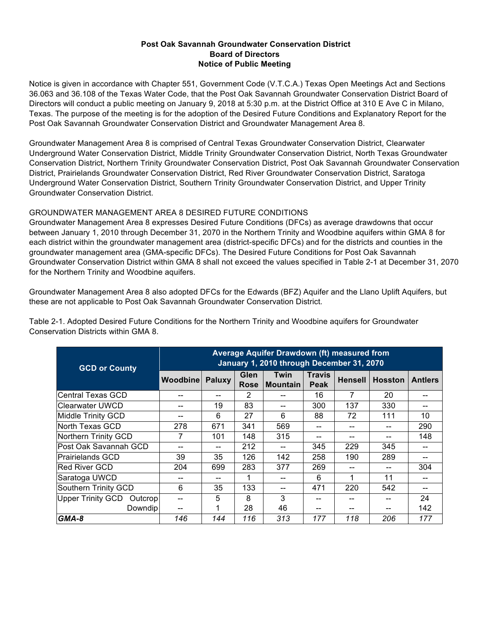## **Post Oak Savannah Groundwater Conservation District Board of Directors Notice of Public Meeting**

Notice is given in accordance with Chapter 551, Government Code (V.T.C.A.) Texas Open Meetings Act and Sections 36.063 and 36.108 of the Texas Water Code, that the Post Oak Savannah Groundwater Conservation District Board of Directors will conduct a public meeting on January 9, 2018 at 5:30 p.m. at the District Office at 310 E Ave C in Milano, Texas. The purpose of the meeting is for the adoption of the Desired Future Conditions and Explanatory Report for the Post Oak Savannah Groundwater Conservation District and Groundwater Management Area 8.

Groundwater Management Area 8 is comprised of Central Texas Groundwater Conservation District, Clearwater Underground Water Conservation District, Middle Trinity Groundwater Conservation District, North Texas Groundwater Conservation District, Northern Trinity Groundwater Conservation District, Post Oak Savannah Groundwater Conservation District, Prairielands Groundwater Conservation District, Red River Groundwater Conservation District, Saratoga Underground Water Conservation District, Southern Trinity Groundwater Conservation District, and Upper Trinity Groundwater Conservation District.

## GROUNDWATER MANAGEMENT AREA 8 DESIRED FUTURE CONDITIONS

Groundwater Management Area 8 expresses Desired Future Conditions (DFCs) as average drawdowns that occur between January 1, 2010 through December 31, 2070 in the Northern Trinity and Woodbine aquifers within GMA 8 for each district within the groundwater management area (district-specific DFCs) and for the districts and counties in the groundwater management area (GMA-specific DFCs). The Desired Future Conditions for Post Oak Savannah Groundwater Conservation District within GMA 8 shall not exceed the values specified in Table 2-1 at December 31, 2070 for the Northern Trinity and Woodbine aquifers.

Groundwater Management Area 8 also adopted DFCs for the Edwards (BFZ) Aquifer and the Llano Uplift Aquifers, but these are not applicable to Post Oak Savannah Groundwater Conservation District.

Table 2-1. Adopted Desired Future Conditions for the Northern Trinity and Woodbine aquifers for Groundwater Conservation Districts within GMA 8.

| <b>GCD or County</b>          | Average Aquifer Drawdown (ft) measured from<br>January 1, 2010 through December 31, 2070 |        |                     |                  |                              |                |                |                |
|-------------------------------|------------------------------------------------------------------------------------------|--------|---------------------|------------------|------------------------------|----------------|----------------|----------------|
|                               | <b>Woodbine</b>                                                                          | Paluxy | Glen<br><b>Rose</b> | Twin<br>Mountain | <b>Travis</b><br><b>Peak</b> | <b>Hensell</b> | <b>Hosston</b> | <b>Antlers</b> |
| lCentral Texas GCD            |                                                                                          |        | 2                   |                  | 16                           | 7              | 20             |                |
| Clearwater UWCD               |                                                                                          | 19     | 83                  |                  | 300                          | 137            | 330            | --             |
| Middle Trinity GCD            |                                                                                          | 6      | 27                  | 6                | 88                           | 72             | 111            | 10             |
| North Texas GCD               | 278                                                                                      | 671    | 341                 | 569              |                              |                |                | 290            |
| Northern Trinity GCD          |                                                                                          | 101    | 148                 | 315              | --                           | --             | --             | 148            |
| lPost Oak Savannah GCD        |                                                                                          | --     | 212                 |                  | 345                          | 229            | 345            |                |
| lPrairielands GCD             | 39                                                                                       | 35     | 126                 | 142              | 258                          | 190            | 289            |                |
| lRed River GCD                | 204                                                                                      | 699    | 283                 | 377              | 269                          | --             |                | 304            |
| Saratoga UWCD                 |                                                                                          |        |                     |                  | 6                            |                | 11             |                |
| Southern Trinity GCD          | 6                                                                                        | 35     | 133                 |                  | 471                          | 220            | 542            | --             |
| Upper Trinity GCD<br>Outcropl |                                                                                          | 5      | 8                   | 3                |                              |                |                | 24             |
| Downdip                       |                                                                                          |        | 28                  | 46               | --                           | --             |                | 142            |
| GMA-8                         | 146                                                                                      | 144    | 116                 | 313              | 177                          | 118            | 206            | 177            |